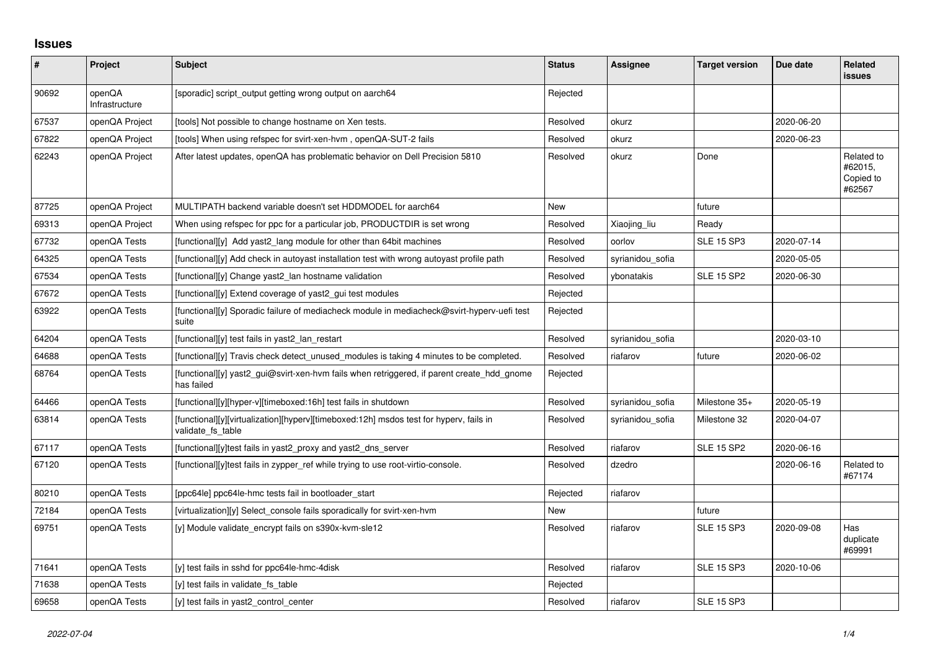## **Issues**

| $\sharp$ | Project                  | <b>Subject</b>                                                                                              | <b>Status</b> | Assignee         | <b>Target version</b> | Due date   | <b>Related</b><br><b>issues</b>              |
|----------|--------------------------|-------------------------------------------------------------------------------------------------------------|---------------|------------------|-----------------------|------------|----------------------------------------------|
| 90692    | openQA<br>Infrastructure | [sporadic] script_output getting wrong output on aarch64                                                    | Rejected      |                  |                       |            |                                              |
| 67537    | openQA Project           | [tools] Not possible to change hostname on Xen tests.                                                       | Resolved      | okurz            |                       | 2020-06-20 |                                              |
| 67822    | openQA Project           | [tools] When using refspec for svirt-xen-hvm, openQA-SUT-2 fails                                            | Resolved      | okurz            |                       | 2020-06-23 |                                              |
| 62243    | openQA Project           | After latest updates, openQA has problematic behavior on Dell Precision 5810                                | Resolved      | okurz            | Done                  |            | Related to<br>#62015,<br>Copied to<br>#62567 |
| 87725    | openQA Project           | MULTIPATH backend variable doesn't set HDDMODEL for aarch64                                                 | <b>New</b>    |                  | future                |            |                                              |
| 69313    | openQA Project           | When using refspec for ppc for a particular job, PRODUCTDIR is set wrong                                    | Resolved      | Xiaojing_liu     | Ready                 |            |                                              |
| 67732    | openQA Tests             | [functional][y] Add yast2 lang module for other than 64bit machines                                         | Resolved      | oorlov           | <b>SLE 15 SP3</b>     | 2020-07-14 |                                              |
| 64325    | openQA Tests             | [functional][y] Add check in autoyast installation test with wrong autoyast profile path                    | Resolved      | syrianidou sofia |                       | 2020-05-05 |                                              |
| 67534    | openQA Tests             | [functional][y] Change yast2_lan hostname validation                                                        | Resolved      | vbonatakis       | <b>SLE 15 SP2</b>     | 2020-06-30 |                                              |
| 67672    | openQA Tests             | [functional][y] Extend coverage of yast2_gui test modules                                                   | Rejected      |                  |                       |            |                                              |
| 63922    | openQA Tests             | [functional][y] Sporadic failure of mediacheck module in mediacheck@svirt-hyperv-uefi test<br>suite         | Rejected      |                  |                       |            |                                              |
| 64204    | openQA Tests             | [functional][y] test fails in yast2 lan restart                                                             | Resolved      | syrianidou_sofia |                       | 2020-03-10 |                                              |
| 64688    | openQA Tests             | [functional][y] Travis check detect unused modules is taking 4 minutes to be completed.                     | Resolved      | riafarov         | future                | 2020-06-02 |                                              |
| 68764    | openQA Tests             | [functional][y] yast2_gui@svirt-xen-hvm fails when retriggered, if parent create_hdd_gnome<br>has failed    | Rejected      |                  |                       |            |                                              |
| 64466    | openQA Tests             | [functional][y][hyper-v][timeboxed:16h] test fails in shutdown                                              | Resolved      | syrianidou sofia | Milestone 35+         | 2020-05-19 |                                              |
| 63814    | openQA Tests             | [functional][y][virtualization][hyperv][timeboxed:12h] msdos test for hyperv, fails in<br>validate fs table | Resolved      | syrianidou sofia | Milestone 32          | 2020-04-07 |                                              |
| 67117    | openQA Tests             | [functional][y]test fails in yast2 proxy and yast2 dns server                                               | Resolved      | riafarov         | <b>SLE 15 SP2</b>     | 2020-06-16 |                                              |
| 67120    | openQA Tests             | [functional][y]test fails in zypper_ref while trying to use root-virtio-console.                            | Resolved      | dzedro           |                       | 2020-06-16 | Related to<br>#67174                         |
| 80210    | openQA Tests             | [ppc64le] ppc64le-hmc tests fail in bootloader_start                                                        | Rejected      | riafarov         |                       |            |                                              |
| 72184    | openQA Tests             | [virtualization][y] Select console fails sporadically for svirt-xen-hvm                                     | New           |                  | future                |            |                                              |
| 69751    | openQA Tests             | [y] Module validate_encrypt fails on s390x-kvm-sle12                                                        | Resolved      | riafarov         | <b>SLE 15 SP3</b>     | 2020-09-08 | Has<br>duplicate<br>#69991                   |
| 71641    | openQA Tests             | [y] test fails in sshd for ppc64le-hmc-4disk                                                                | Resolved      | riafarov         | <b>SLE 15 SP3</b>     | 2020-10-06 |                                              |
| 71638    | openQA Tests             | [y] test fails in validate fs table                                                                         | Rejected      |                  |                       |            |                                              |
| 69658    | openQA Tests             | [y] test fails in yast2 control center                                                                      | Resolved      | riafarov         | <b>SLE 15 SP3</b>     |            |                                              |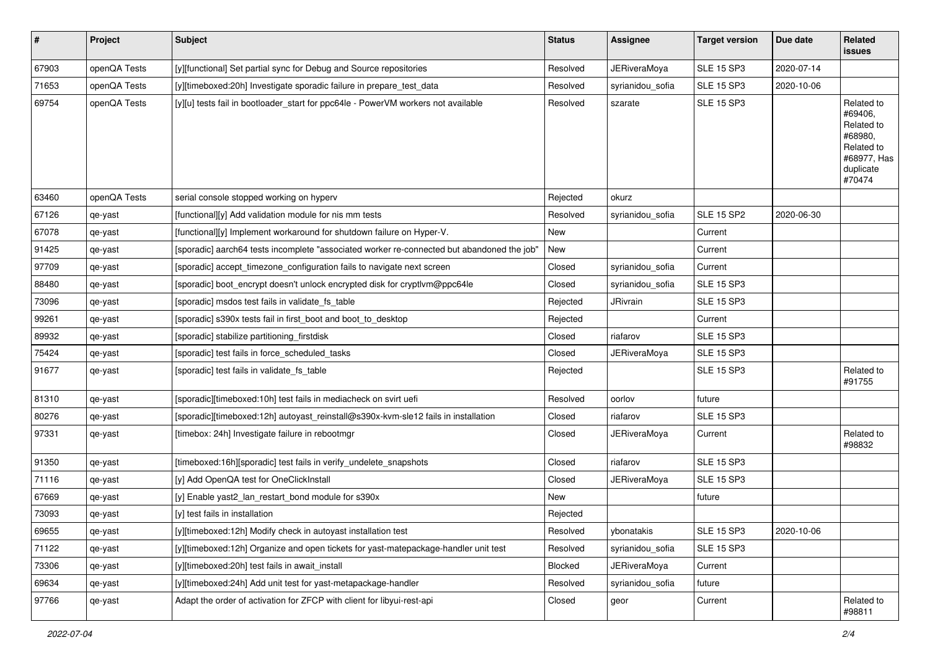| $\sharp$ | Project      | <b>Subject</b>                                                                             | <b>Status</b> | Assignee            | <b>Target version</b> | Due date   | Related<br>issues                                                                                  |
|----------|--------------|--------------------------------------------------------------------------------------------|---------------|---------------------|-----------------------|------------|----------------------------------------------------------------------------------------------------|
| 67903    | openQA Tests | [y][functional] Set partial sync for Debug and Source repositories                         | Resolved      | <b>JERiveraMoya</b> | <b>SLE 15 SP3</b>     | 2020-07-14 |                                                                                                    |
| 71653    | openQA Tests | [y][timeboxed:20h] Investigate sporadic failure in prepare_test_data                       | Resolved      | syrianidou_sofia    | <b>SLE 15 SP3</b>     | 2020-10-06 |                                                                                                    |
| 69754    | openQA Tests | [y][u] tests fail in bootloader_start for ppc64le - PowerVM workers not available          | Resolved      | szarate             | <b>SLE 15 SP3</b>     |            | Related to<br>#69406,<br>Related to<br>#68980,<br>Related to<br>#68977, Has<br>duplicate<br>#70474 |
| 63460    | openQA Tests | serial console stopped working on hyperv                                                   | Rejected      | okurz               |                       |            |                                                                                                    |
| 67126    | qe-yast      | [functional][y] Add validation module for nis mm tests                                     | Resolved      | syrianidou_sofia    | <b>SLE 15 SP2</b>     | 2020-06-30 |                                                                                                    |
| 67078    | qe-yast      | [functional][y] Implement workaround for shutdown failure on Hyper-V.                      | New           |                     | Current               |            |                                                                                                    |
| 91425    | qe-yast      | [sporadic] aarch64 tests incomplete "associated worker re-connected but abandoned the job" | New           |                     | Current               |            |                                                                                                    |
| 97709    | qe-yast      | [sporadic] accept_timezone_configuration fails to navigate next screen                     | Closed        | syrianidou_sofia    | Current               |            |                                                                                                    |
| 88480    | qe-yast      | [sporadic] boot_encrypt doesn't unlock encrypted disk for cryptlvm@ppc64le                 | Closed        | syrianidou_sofia    | <b>SLE 15 SP3</b>     |            |                                                                                                    |
| 73096    | qe-yast      | [sporadic] msdos test fails in validate_fs_table                                           | Rejected      | JRivrain            | <b>SLE 15 SP3</b>     |            |                                                                                                    |
| 99261    | qe-yast      | [sporadic] s390x tests fail in first_boot and boot_to_desktop                              | Rejected      |                     | Current               |            |                                                                                                    |
| 89932    | qe-yast      | [sporadic] stabilize partitioning_firstdisk                                                | Closed        | riafarov            | <b>SLE 15 SP3</b>     |            |                                                                                                    |
| 75424    | qe-yast      | [sporadic] test fails in force_scheduled_tasks                                             | Closed        | <b>JERiveraMoya</b> | <b>SLE 15 SP3</b>     |            |                                                                                                    |
| 91677    | qe-yast      | [sporadic] test fails in validate_fs_table                                                 | Rejected      |                     | <b>SLE 15 SP3</b>     |            | Related to<br>#91755                                                                               |
| 81310    | qe-yast      | [sporadic][timeboxed:10h] test fails in mediacheck on svirt uefi                           | Resolved      | oorlov              | future                |            |                                                                                                    |
| 80276    | qe-yast      | [sporadic][timeboxed:12h] autoyast_reinstall@s390x-kvm-sle12 fails in installation         | Closed        | riafarov            | <b>SLE 15 SP3</b>     |            |                                                                                                    |
| 97331    | qe-yast      | [timebox: 24h] Investigate failure in rebootmgr                                            | Closed        | JERiveraMoya        | Current               |            | Related to<br>#98832                                                                               |
| 91350    | qe-yast      | [timeboxed:16h][sporadic] test fails in verify_undelete_snapshots                          | Closed        | riafarov            | <b>SLE 15 SP3</b>     |            |                                                                                                    |
| 71116    | qe-yast      | [y] Add OpenQA test for OneClickInstall                                                    | Closed        | <b>JERiveraMoya</b> | <b>SLE 15 SP3</b>     |            |                                                                                                    |
| 67669    | qe-yast      | [y] Enable yast2_lan_restart_bond module for s390x                                         | New           |                     | future                |            |                                                                                                    |
| 73093    | qe-yast      | [y] test fails in installation                                                             | Rejected      |                     |                       |            |                                                                                                    |
| 69655    | qe-yast      | [y][timeboxed:12h] Modify check in autoyast installation test                              | Resolved      | ybonatakis          | <b>SLE 15 SP3</b>     | 2020-10-06 |                                                                                                    |
| 71122    | qe-yast      | [y][timeboxed:12h] Organize and open tickets for yast-matepackage-handler unit test        | Resolved      | syrianidou_sofia    | <b>SLE 15 SP3</b>     |            |                                                                                                    |
| 73306    | qe-yast      | [y][timeboxed:20h] test fails in await_install                                             | Blocked       | <b>JERiveraMoya</b> | Current               |            |                                                                                                    |
| 69634    | qe-yast      | [y][timeboxed:24h] Add unit test for yast-metapackage-handler                              | Resolved      | syrianidou_sofia    | future                |            |                                                                                                    |
| 97766    | qe-yast      | Adapt the order of activation for ZFCP with client for libyui-rest-api                     | Closed        | geor                | Current               |            | Related to<br>#98811                                                                               |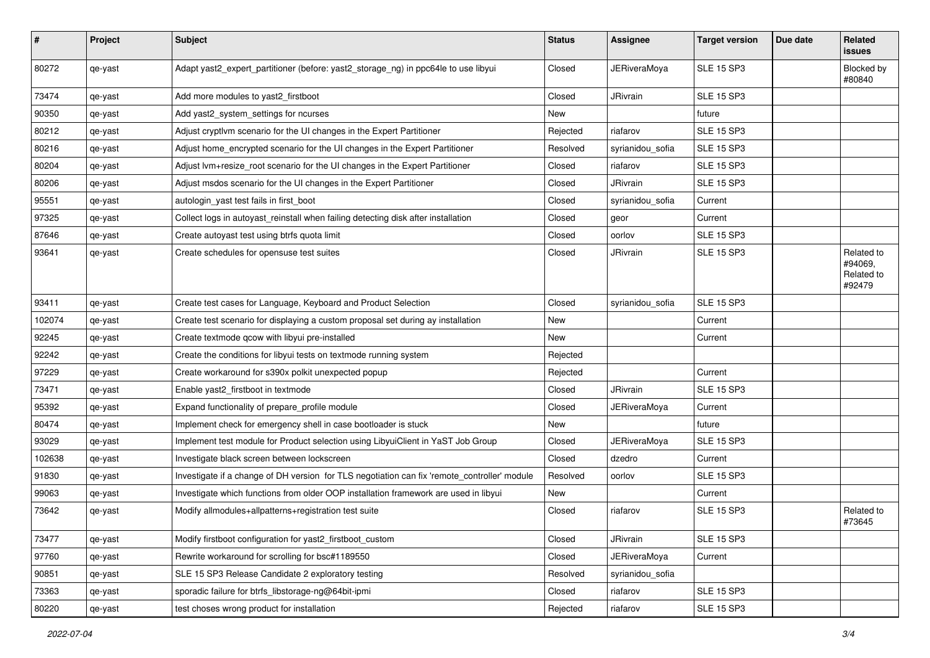| #      | Project | <b>Subject</b>                                                                               | <b>Status</b> | Assignee            | <b>Target version</b> | Due date | <b>Related</b><br><b>issues</b>               |
|--------|---------|----------------------------------------------------------------------------------------------|---------------|---------------------|-----------------------|----------|-----------------------------------------------|
| 80272  | qe-yast | Adapt yast2_expert_partitioner (before: yast2_storage_ng) in ppc64le to use libyui           | Closed        | <b>JERiveraMoya</b> | <b>SLE 15 SP3</b>     |          | Blocked by<br>#80840                          |
| 73474  | qe-yast | Add more modules to yast2_firstboot                                                          | Closed        | JRivrain            | <b>SLE 15 SP3</b>     |          |                                               |
| 90350  | qe-yast | Add yast2_system_settings for ncurses                                                        | New           |                     | future                |          |                                               |
| 80212  | qe-yast | Adjust cryptlvm scenario for the UI changes in the Expert Partitioner                        | Rejected      | riafarov            | <b>SLE 15 SP3</b>     |          |                                               |
| 80216  | qe-yast | Adjust home_encrypted scenario for the UI changes in the Expert Partitioner                  | Resolved      | syrianidou sofia    | <b>SLE 15 SP3</b>     |          |                                               |
| 80204  | qe-yast | Adjust lvm+resize_root scenario for the UI changes in the Expert Partitioner                 | Closed        | riafarov            | <b>SLE 15 SP3</b>     |          |                                               |
| 80206  | qe-yast | Adjust msdos scenario for the UI changes in the Expert Partitioner                           | Closed        | JRivrain            | <b>SLE 15 SP3</b>     |          |                                               |
| 95551  | qe-yast | autologin_yast test fails in first_boot                                                      | Closed        | syrianidou_sofia    | Current               |          |                                               |
| 97325  | qe-yast | Collect logs in autoyast_reinstall when failing detecting disk after installation            | Closed        | geor                | Current               |          |                                               |
| 87646  | qe-yast | Create autoyast test using btrfs quota limit                                                 | Closed        | oorlov              | <b>SLE 15 SP3</b>     |          |                                               |
| 93641  | qe-yast | Create schedules for opensuse test suites                                                    | Closed        | JRivrain            | <b>SLE 15 SP3</b>     |          | Related to<br>#94069,<br>Related to<br>#92479 |
| 93411  | qe-yast | Create test cases for Language, Keyboard and Product Selection                               | Closed        | syrianidou_sofia    | <b>SLE 15 SP3</b>     |          |                                               |
| 102074 | qe-yast | Create test scenario for displaying a custom proposal set during ay installation             | <b>New</b>    |                     | Current               |          |                                               |
| 92245  | qe-yast | Create textmode gcow with libyui pre-installed                                               | New           |                     | Current               |          |                                               |
| 92242  | qe-yast | Create the conditions for libyui tests on textmode running system                            | Rejected      |                     |                       |          |                                               |
| 97229  | qe-yast | Create workaround for s390x polkit unexpected popup                                          | Rejected      |                     | Current               |          |                                               |
| 73471  | qe-yast | Enable yast2_firstboot in textmode                                                           | Closed        | JRivrain            | <b>SLE 15 SP3</b>     |          |                                               |
| 95392  | qe-yast | Expand functionality of prepare_profile module                                               | Closed        | <b>JERiveraMoya</b> | Current               |          |                                               |
| 80474  | qe-yast | Implement check for emergency shell in case bootloader is stuck                              | New           |                     | future                |          |                                               |
| 93029  | qe-yast | Implement test module for Product selection using LibyuiClient in YaST Job Group             | Closed        | <b>JERiveraMoya</b> | <b>SLE 15 SP3</b>     |          |                                               |
| 102638 | qe-yast | Investigate black screen between lockscreen                                                  | Closed        | dzedro              | Current               |          |                                               |
| 91830  | qe-yast | Investigate if a change of DH version for TLS negotiation can fix 'remote_controller' module | Resolved      | oorlov              | <b>SLE 15 SP3</b>     |          |                                               |
| 99063  | qe-yast | Investigate which functions from older OOP installation framework are used in libyui         | New           |                     | Current               |          |                                               |
| 73642  | qe-yast | Modify allmodules+allpatterns+registration test suite                                        | Closed        | riafarov            | <b>SLE 15 SP3</b>     |          | Related to<br>#73645                          |
| 73477  | qe-yast | Modify firstboot configuration for yast2 firstboot custom                                    | Closed        | JRivrain            | <b>SLE 15 SP3</b>     |          |                                               |
| 97760  | qe-yast | Rewrite workaround for scrolling for bsc#1189550                                             | Closed        | <b>JERiveraMoya</b> | Current               |          |                                               |
| 90851  | qe-yast | SLE 15 SP3 Release Candidate 2 exploratory testing                                           | Resolved      | syrianidou_sofia    |                       |          |                                               |
| 73363  | qe-yast | sporadic failure for btrfs_libstorage-ng@64bit-ipmi                                          | Closed        | riafarov            | <b>SLE 15 SP3</b>     |          |                                               |
| 80220  | qe-yast | test choses wrong product for installation                                                   | Rejected      | riafarov            | <b>SLE 15 SP3</b>     |          |                                               |